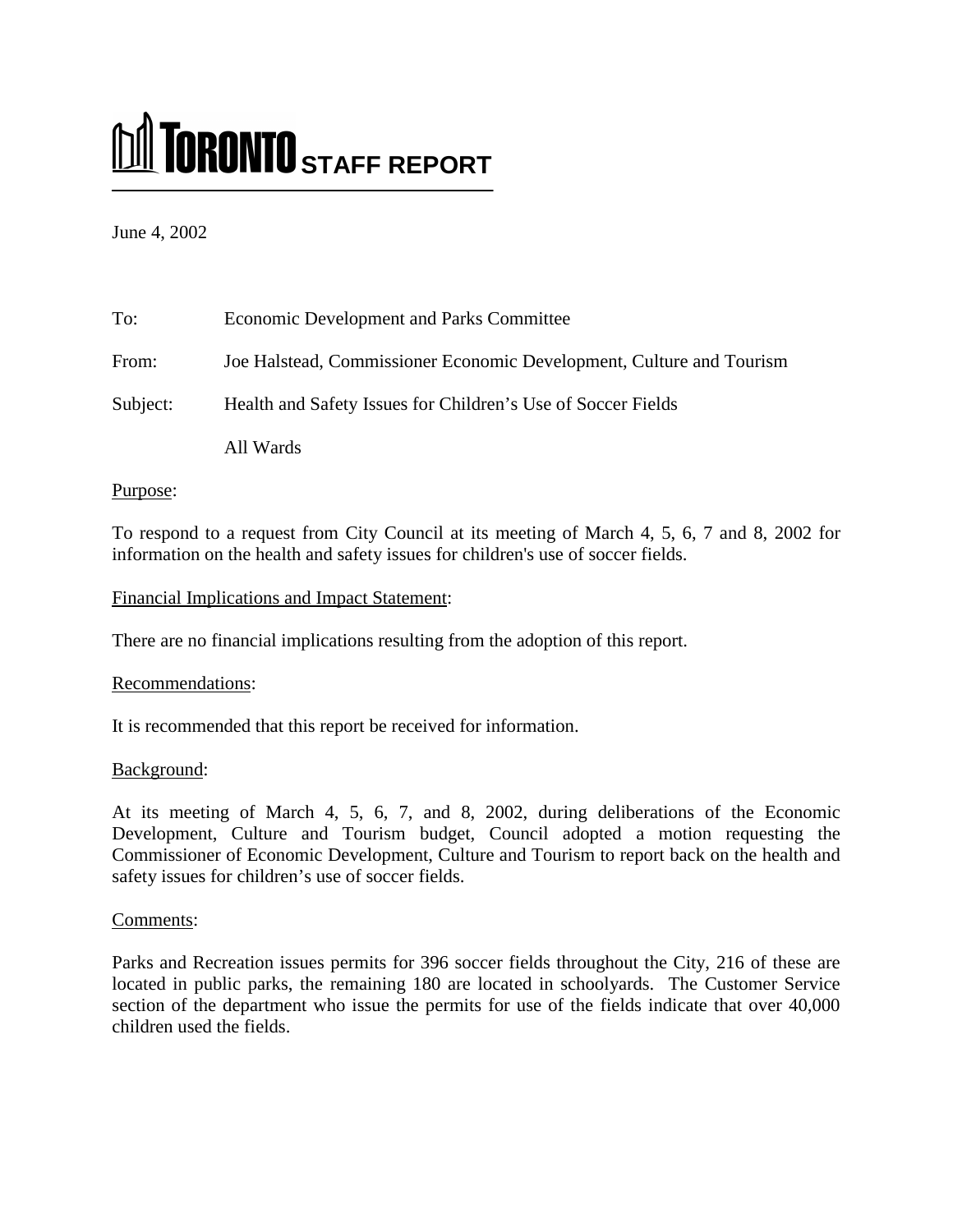# **STAFF REPORT**

June 4, 2002

| To:      | <b>Economic Development and Parks Committee</b>                      |
|----------|----------------------------------------------------------------------|
| From:    | Joe Halstead, Commissioner Economic Development, Culture and Tourism |
| Subject: | Health and Safety Issues for Children's Use of Soccer Fields         |
|          | All Wards                                                            |

Purpose:

To respond to a request from City Council at its meeting of March 4, 5, 6, 7 and 8, 2002 for information on the health and safety issues for children's use of soccer fields.

# Financial Implications and Impact Statement:

There are no financial implications resulting from the adoption of this report.

### Recommendations:

It is recommended that this report be received for information.

### Background:

At its meeting of March 4, 5, 6, 7, and 8, 2002, during deliberations of the Economic Development, Culture and Tourism budget, Council adopted a motion requesting the Commissioner of Economic Development, Culture and Tourism to report back on the health and safety issues for children's use of soccer fields.

### Comments:

Parks and Recreation issues permits for 396 soccer fields throughout the City, 216 of these are located in public parks, the remaining 180 are located in schoolyards. The Customer Service section of the department who issue the permits for use of the fields indicate that over 40,000 children used the fields.